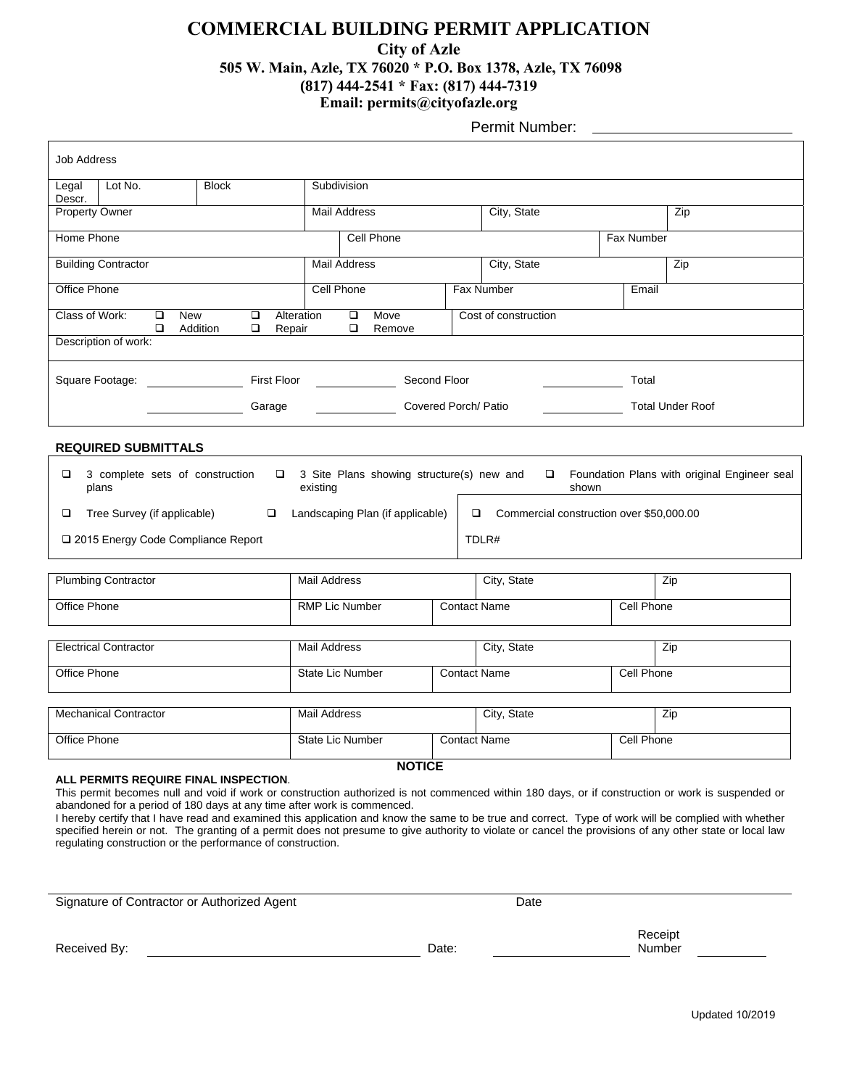### **COMMERCIAL BUILDING PERMIT APPLICATION**

### **City of Azle**

### **505 W. Main, Azle, TX 76020 \* P.O. Box 1378, Azle, TX 76098**

### **(817) 444-2541 \* Fax: (817) 444-7319**

**Email: permits@cityofazle.org**

Permit Number:

| <b>Job Address</b>                                                                                                                                                                                                                                                                                               |                                  |                                                               |                         |                                                            |                     |                     |                         |            |  |
|------------------------------------------------------------------------------------------------------------------------------------------------------------------------------------------------------------------------------------------------------------------------------------------------------------------|----------------------------------|---------------------------------------------------------------|-------------------------|------------------------------------------------------------|---------------------|---------------------|-------------------------|------------|--|
| Legal<br>Descr.                                                                                                                                                                                                                                                                                                  | Lot No.                          | <b>Block</b>                                                  | Subdivision             |                                                            |                     |                     |                         |            |  |
| Property Owner                                                                                                                                                                                                                                                                                                   |                                  |                                                               | <b>Mail Address</b>     |                                                            |                     | City, State         |                         | Zip        |  |
| Home Phone                                                                                                                                                                                                                                                                                                       |                                  |                                                               |                         | Cell Phone                                                 |                     |                     | Fax Number              |            |  |
| <b>Building Contractor</b>                                                                                                                                                                                                                                                                                       |                                  |                                                               |                         | <b>Mail Address</b>                                        |                     | City, State         |                         | Zip        |  |
| Office Phone                                                                                                                                                                                                                                                                                                     |                                  |                                                               | Cell Phone              |                                                            |                     | Fax Number          | Email                   |            |  |
| Class of Work:                                                                                                                                                                                                                                                                                                   | $\Box$<br>$\Box$                 | <b>New</b><br>$\Box$<br>Alteration<br>Addition<br>❏<br>Repair |                         | $\Box$<br>Move<br>Cost of construction<br>$\Box$<br>Remove |                     |                     |                         |            |  |
| Description of work:                                                                                                                                                                                                                                                                                             |                                  |                                                               |                         |                                                            |                     |                     |                         |            |  |
|                                                                                                                                                                                                                                                                                                                  | Square Footage: ________________ |                                                               |                         | First Floor <u>_____________</u><br>Second Floor           |                     |                     | Total                   |            |  |
| Garage                                                                                                                                                                                                                                                                                                           |                                  |                                                               |                         | Covered Porch/ Patio                                       |                     |                     | <b>Total Under Roof</b> |            |  |
| <b>REQUIRED SUBMITTALS</b>                                                                                                                                                                                                                                                                                       |                                  |                                                               |                         |                                                            |                     |                     |                         |            |  |
| □<br>3 complete sets of construction<br>3 Site Plans showing structure(s) new and<br>Foundation Plans with original Engineer seal<br>$\Box$<br>$\Box$<br>plans<br>existing<br>shown                                                                                                                              |                                  |                                                               |                         |                                                            |                     |                     |                         |            |  |
| Tree Survey (if applicable)<br>Landscaping Plan (if applicable)<br>Commercial construction over \$50,000.00<br>□<br>❏<br>□                                                                                                                                                                                       |                                  |                                                               |                         |                                                            |                     |                     |                         |            |  |
| TDLR#<br>□ 2015 Energy Code Compliance Report                                                                                                                                                                                                                                                                    |                                  |                                                               |                         |                                                            |                     |                     |                         |            |  |
| <b>Plumbing Contractor</b>                                                                                                                                                                                                                                                                                       |                                  |                                                               |                         | <b>Mail Address</b>                                        |                     | City, State         |                         | Zip        |  |
| Office Phone                                                                                                                                                                                                                                                                                                     |                                  |                                                               | <b>RMP Lic Number</b>   |                                                            |                     | <b>Contact Name</b> |                         | Cell Phone |  |
| <b>Electrical Contractor</b>                                                                                                                                                                                                                                                                                     |                                  |                                                               |                         | Mail Address                                               |                     | City, State         |                         | Zip        |  |
| <b>Office Phone</b>                                                                                                                                                                                                                                                                                              |                                  |                                                               | <b>State Lic Number</b> |                                                            | <b>Contact Name</b> |                     | Cell Phone              |            |  |
|                                                                                                                                                                                                                                                                                                                  |                                  |                                                               |                         |                                                            |                     |                     |                         |            |  |
| <b>Mechanical Contractor</b>                                                                                                                                                                                                                                                                                     |                                  |                                                               | <b>Mail Address</b>     |                                                            |                     | City, State         |                         | Zip        |  |
| Office Phone                                                                                                                                                                                                                                                                                                     |                                  |                                                               | State Lic Number        |                                                            |                     | <b>Contact Name</b> |                         | Cell Phone |  |
| <b>NOTICE</b><br>ALL PERMITS REQUIRE FINAL INSPECTION.                                                                                                                                                                                                                                                           |                                  |                                                               |                         |                                                            |                     |                     |                         |            |  |
| This permit becomes null and void if work or construction authorized is not commenced within 180 days, or if construction or work is suspended or<br>abandoned for a period of 180 days at any time after work is commenced.                                                                                     |                                  |                                                               |                         |                                                            |                     |                     |                         |            |  |
| I hereby certify that I have read and examined this application and know the same to be true and correct. Type of work will be complied with whether<br>specified herein or not. The granting of a permit does not presume to give authority to violate or cancel the provisions of any other state or local law |                                  |                                                               |                         |                                                            |                     |                     |                         |            |  |

regulating construction or the performance of construction.

Signature of Contractor or Authorized Agent Date

Receipt Number

Received By:  $\blacksquare$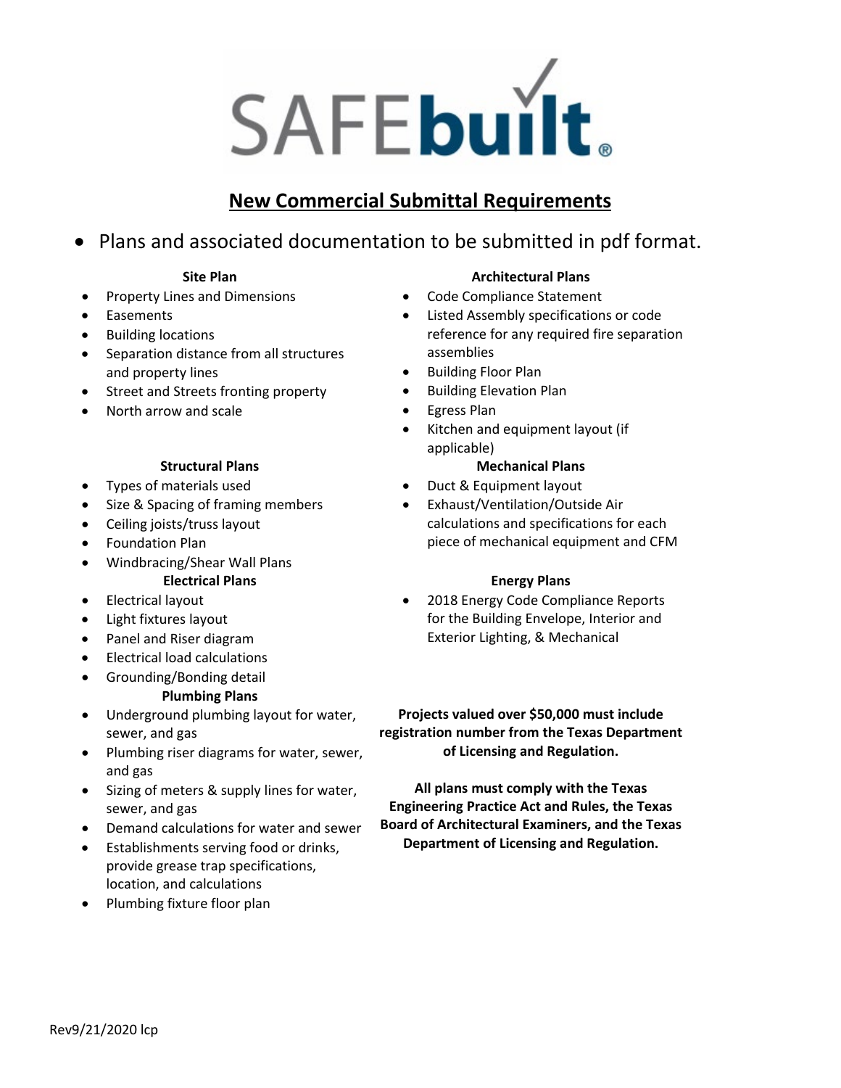# SAFEbuilt.

# **New Commercial Submittal Requirements**

# • Plans and associated documentation to be submitted in pdf format.

### **Site Plan**

- Property Lines and Dimensions
- Easements
- Building locations
- Separation distance from all structures and property lines
- Street and Streets fronting property
- North arrow and scale

### **Structural Plans**

- Types of materials used
- Size & Spacing of framing members
- Ceiling joists/truss layout
- Foundation Plan
- Windbracing/Shear Wall Plans **Electrical Plans**
- Electrical layout
- Light fixtures layout
- Panel and Riser diagram
- Electrical load calculations
- Grounding/Bonding detail

### **Plumbing Plans**

- Underground plumbing layout for water, sewer, and gas
- Plumbing riser diagrams for water, sewer, and gas
- Sizing of meters & supply lines for water, sewer, and gas
- Demand calculations for water and sewer
- Establishments serving food or drinks, provide grease trap specifications, location, and calculations
- Plumbing fixture floor plan

### **Architectural Plans**

- Code Compliance Statement
- Listed Assembly specifications or code reference for any required fire separation assemblies
- Building Floor Plan
- Building Elevation Plan
- Egress Plan
- Kitchen and equipment layout (if applicable)

### **Mechanical Plans**

- Duct & Equipment layout
- Exhaust/Ventilation/Outside Air calculations and specifications for each piece of mechanical equipment and CFM

### **Energy Plans**

• 2018 Energy Code Compliance Reports for the Building Envelope, Interior and Exterior Lighting, & Mechanical

**Projects valued over \$50,000 must include registration number from the Texas Department of Licensing and Regulation.**

**All plans must comply with the Texas Engineering Practice Act and Rules, the Texas Board of Architectural Examiners, and the Texas Department of Licensing and Regulation.**